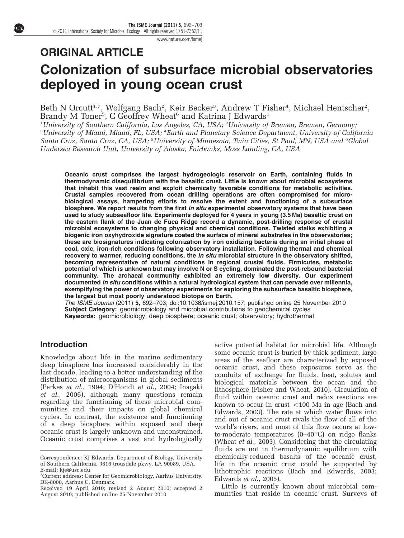www.nature.com/ismej

# ORIGINAL ARTICLE Colonization of subsurface microbial observatories deployed in young ocean crust

Beth N Orcutt<sup>1,7</sup>, Wolfgang Bach<sup>2</sup>, Keir Becker<sup>3</sup>, Andrew T Fisher<sup>4</sup>, Michael Hentscher<sup>2</sup>, Brandy M Toner $^5$ , C Geoffrey Wheat $^6$  and Katrina J Edwards $^1$ 

<sup>1</sup>University of Southern California, Los Angeles, CA, USA; <sup>2</sup>University of Bremen, Bremen, Germany, <sup>3</sup>University of Miami, Miami, FL, USA; <sup>4</sup>Earth and Planetary Science Department, University of California Santa Cruz, Santa Cruz, CA, USA; <sup>5</sup>University of Minnesota, Twin Cities, St Paul, MN, USA and <sup>6</sup>Global Undersea Research Unit, University of Alaska, Fairbanks, Moss Landing, CA, USA

Oceanic crust comprises the largest hydrogeologic reservoir on Earth, containing fluids in thermodynamic disequilibrium with the basaltic crust. Little is known about microbial ecosystems that inhabit this vast realm and exploit chemically favorable conditions for metabolic activities. Crustal samples recovered from ocean drilling operations are often compromised for microbiological assays, hampering efforts to resolve the extent and functioning of a subsurface biosphere. We report results from the first in situ experimental observatory systems that have been used to study subseafloor life. Experiments deployed for 4 years in young (3.5 Ma) basaltic crust on the eastern flank of the Juan de Fuca Ridge record a dynamic, post-drilling response of crustal microbial ecosystems to changing physical and chemical conditions. Twisted stalks exhibiting a biogenic iron oxyhydroxide signature coated the surface of mineral substrates in the observatories; these are biosignatures indicating colonization by iron oxidizing bacteria during an initial phase of cool, oxic, iron-rich conditions following observatory installation. Following thermal and chemical recovery to warmer, reducing conditions, the in situ microbial structure in the observatory shifted, becoming representative of natural conditions in regional crustal fluids. Firmicutes, metabolic potential of which is unknown but may involve N or S cycling, dominated the post-rebound bacterial community. The archaeal community exhibited an extremely low diversity. Our experiment documented in situ conditions within a natural hydrological system that can pervade over millennia, exemplifying the power of observatory experiments for exploring the subsurface basaltic biosphere, the largest but most poorly understood biotope on Earth.

The ISME Journal (2011) 5, 692–703; doi:10.1038/ismej.2010.157; published online 25 November 2010 Subject Category: geomicrobiology and microbial contributions to geochemical cycles Keywords: geomicrobiology; deep biosphere; oceanic crust; observatory; hydrothermal

## Introduction

Knowledge about life in the marine sedimentary deep biosphere has increased considerably in the last decade, leading to a better understanding of the distribution of microorganisms in global sediments (Parkes et al., 1994; D'Hondt et al., 2004; Inagaki et al., 2006), although many questions remain regarding the functioning of these microbial communities and their impacts on global chemical cycles. In contrast, the existence and functioning of a deep biosphere within exposed and deep oceanic crust is largely unknown and unconstrained. Oceanic crust comprises a vast and hydrologically active potential habitat for microbial life. Although some oceanic crust is buried by thick sediment, large areas of the seafloor are characterized by exposed oceanic crust, and these exposures serve as the conduits of exchange for fluids, heat, solutes and biological materials between the ocean and the lithosphere (Fisher and Wheat, 2010). Circulation of fluid within oceanic crust and redox reactions are known to occur in crust  $\langle 100 \text{ Ma} \rangle$  in age (Bach and Edwards, 2003). The rate at which water flows into and out of oceanic crust rivals the flow of all of the world's rivers, and most of this flow occurs at lowto-moderate temperatures  $(0-40\degree C)$  on ridge flanks (Wheat et al., 2003). Considering that the circulating fluids are not in thermodynamic equilibrium with chemically-reduced basalts of the oceanic crust, life in the oceanic crust could be supported by lithotrophic reactions (Bach and Edwards, 2003; Edwards et al., 2005).

Little is currently known about microbial com-Received 19 April 2010; revised 2 August 2010; accepted 2 Little is currently known about microbial com-<br>August 2010; published online 25 November 2010 munities that reside in oceanic crust. Surveys of

Correspondence: KJ Edwards, Department of Biology, University of Southern California, 3616 trousdale pkwy, LA 90089, USA. E-mail: kje@usc.edu

<sup>7</sup> Current address: Center for Geomicrobiology, Aarhus University, DK-8000, Aarhus C, Denmark.

August 2010; published online 25 November 2010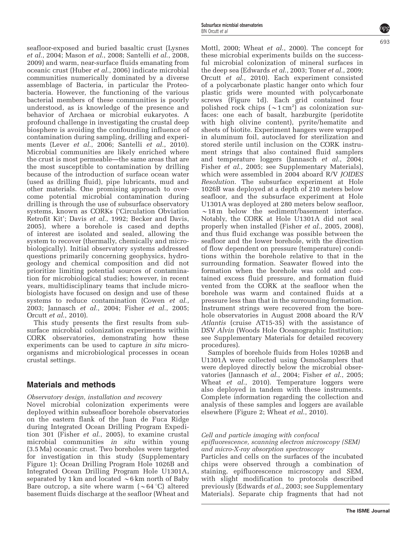seafloor-exposed and buried basaltic crust (Lysnes et al., 2004; Mason et al., 2008; Santelli et al., 2008, 2009) and warm, near-surface fluids emanating from oceanic crust (Huber et al., 2006) indicate microbial communities numerically dominated by a diverse assemblage of Bacteria, in particular the Proteobacteria. However, the functioning of the various bacterial members of these communities is poorly understood, as is knowledge of the presence and behavior of Archaea or microbial eukaryotes. A profound challenge in investigating the crustal deep biosphere is avoiding the confounding influence of contamination during sampling, drilling and experiments (Lever *et al.*, 2006; Santelli *et al.*, 2010). Microbial communities are likely enriched where the crust is most permeable—the same areas that are the most susceptible to contamination by drilling because of the introduction of surface ocean water (used as drilling fluid), pipe lubricants, mud and other materials. One promising approach to overcome potential microbial contamination during drilling is through the use of subsurface observatory systems, known as CORKs ('Circulation Obviation Retrofit Kit'; Davis et al., 1992; Becker and Davis, 2005), where a borehole is cased and depths of interest are isolated and sealed, allowing the system to recover (thermally, chemically and microbiologically). Initial observatory systems addressed questions primarily concerning geophysics, hydrogeology and chemical composition and did not prioritize limiting potential sources of contamination for microbiological studies; however, in recent years, multidisciplinary teams that include microbiologists have focused on design and use of these systems to reduce contamination (Cowen *et al.*, 2003; Jannasch et al., 2004; Fisher et al., 2005; Orcutt et al., 2010).

This study presents the first results from subsurface microbial colonization experiments within CORK observatories, demonstrating how these experiments can be used to capture in situ microorganisms and microbiological processes in ocean crustal settings.

### Materials and methods

Observatory design, installation and recovery

Novel microbial colonization experiments were deployed within subseafloor borehole observatories on the eastern flank of the Juan de Fuca Ridge during Integrated Ocean Drilling Program Expedition 301 (Fisher et al., 2005), to examine crustal microbial communities *in situ* within young (3.5 Ma) oceanic crust. Two boreholes were targeted for investigation in this study (Supplementary Figure 1): Ocean Drilling Program Hole 1026B and Integrated Ocean Drilling Program Hole U1301A, separated by 1 km and located  $\sim$  6 km north of Baby Bare outcrop, a site where warm  $({\sim}64^{\circ}C)$  altered basement fluids discharge at the seafloor (Wheat and

Mottl, 2000; Wheat et al., 2000). The concept for these microbial experiments builds on the successful microbial colonization of mineral surfaces in the deep sea (Edwards et al., 2003; Toner et al., 2009; Orcutt et al., 2010). Each experiment consisted of a polycarbonate plastic hanger onto which four plastic grids were mounted with polycarbonate screws (Figure 1d). Each grid contained four polished rock chips  $({\sim}1\,\mathrm{cm}^2)$  as colonization surfaces: one each of basalt, harzburgite (peridotite with high olivine content), pyrite/hematite and sheets of biotite. Experiment hangers were wrapped in aluminum foil, autoclaved for sterilization and stored sterile until inclusion on the CORK instrument strings that also contained fluid samplers and temperature loggers (Jannasch et al., 2004; Fisher et al., 2005; see Supplementary Materials), which were assembled in 2004 aboard R/V JOIDES Resolution. The subsurface experiment at Hole 1026B was deployed at a depth of 210 meters below seafloor, and the subsurface experiment at Hole U1301A was deployed at 280 meters below seafloor,  $\sim$ 18 m below the sediment/basement interface. Notably, the CORK at Hole U1301A did not seal properly when installed (Fisher et al., 2005, 2008), and thus fluid exchange was possible between the seafloor and the lower borehole, with the direction of flow dependent on pressure (temperature) conditions within the borehole relative to that in the surrounding formation. Seawater flowed into the formation when the borehole was cold and contained excess fluid pressure, and formation fluid vented from the CORK at the seafloor when the borehole was warm and contained fluids at a pressure less than that in the surrounding formation. Instrument strings were recovered from the borehole observatories in August 2008 aboard the R/V Atlantis (cruise AT15-35) with the assistance of DSV Alvin (Woods Hole Oceanographic Institution; see Supplementary Materials for detailed recovery procedures).

Samples of borehole fluids from Holes 1026B and U1301A were collected using OsmoSamplers that were deployed directly below the microbial observatories (Jannasch et al., 2004; Fisher et al., 2005; Wheat et al., 2010). Temperature loggers were also deployed in tandem with these instruments. Complete information regarding the collection and analysis of these samples and loggers are available elsewhere (Figure 2; Wheat et al., 2010).

Cell and particle imaging with confocal

epifluorescence, scanning electron microscopy (SEM) and micro-X-ray absorption spectroscopy

Particles and cells on the surfaces of the incubated chips were observed through a combination of staining, epifluorescence microscopy and SEM, with slight modification to protocols described previously (Edwards et al., 2003; see Supplementary Materials). Separate chip fragments that had not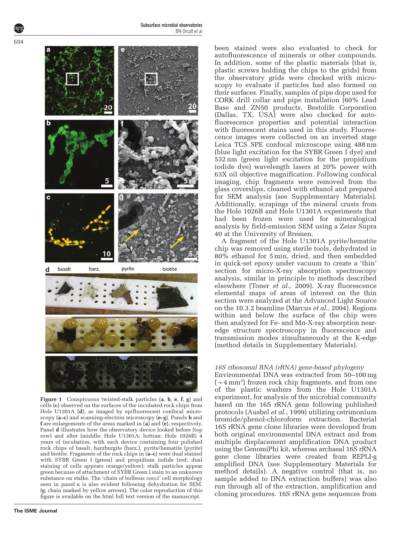

Figure 1 Conspicuous twisted-stalk particles (a, b, e, f, g) and cells (c) observed on the surfaces of the incubated rock chips from Hole U1301A (d), as imaged by epifluorescent confocal microscopy (a–c) and scanning-electron microscopy (e–g). Panels b and f are enlargements of the areas marked in (a) and (e), respectively. Panel d illustrates how the observatory device looked before (top row) and after (middle: Hole U1301A; bottom: Hole 1026B) 4 years of incubation, with each device containing four polished rock chips of basalt, harzburgite (harz.), pyrite/hematite (pyrite) and biotite. Fragments of the rock chips in  $(a-c)$  were dual stained with SYBR Green I (green) and propidium iodide (red; dual staining of cells appears orange/yellow); stalk particles appear green because of attachment of SYBR Green I stain to an unknown substance on stalks. The 'chain of bulbous cocci' cell morphology seen in panel c is also evident following dehydration for SEM. (g; chain marked by yellow arrows). The color reproduction of this figure is available on the html full text version of the manuscript.

been stained were also evaluated to check for autofluorescence of minerals or other compounds. In addition, some of the plastic materials (that is, plastic screws holding the chips to the grids) from the observatory grids were checked with microscopy to evaluate if particles had also formed on their surfaces. Finally, samples of pipe dope used for CORK drill collar and pipe installation (60% Lead Base and ZN50 products, Bestolife Corporation (Dallas, TX, USA) were also checked for autofluorescence properties and potential interaction with fluorescent stains used in this study. Fluorescence images were collected on an inverted stage Leica TCS SPE confocal microscope using 488 nm (blue light excitation for the SYBR Green I dye) and 532 nm (green light excitation for the propidium iodide dye) wavelength lasers at 20% power with 63X oil objective magnification. Following confocal imaging, chip fragments were removed from the glass coverslips, cleaned with ethanol and prepared for SEM analysis (see Supplementary Materials). Additionally, scrapings of the mineral crusts from the Hole 1026B and Hole U1301A experiments that had been frozen were used for mineralogical analysis by field-emission SEM using a Zeiss Supra 40 at the University of Bremen.

A fragment of the Hole U1301A pyrite/hematite chip was removed using sterile tools, dehydrated in 80% ethanol for 5 min, dried, and then embedded in quick-set epoxy under vacuum to create a 'thin' section for micro-X-ray absorption spectroscopy analysis, similar in principle to methods described elsewhere (Toner  $e\bar{t}$  al., 2009). X-ray fluorescence elemental maps of areas of interest on the thin section were analyzed at the Advanced Light Source on the 10.3.2 beamline (Marcus et al., 2004). Regions within and below the surface of the chip were then analyzed for Fe- and Mn-X-ray absorption nearedge structure spectroscopy in fluorescence and transmission modes simultaneously at the K-edge (method details in Supplementary Materials).

#### 16S ribosomal RNA (rRNA) gene-based phylogeny

Environmental DNA was extracted from 50–100 mg  $({\sim}4\,\mathrm{mm}^2)$  frozen rock chip fragments, and from one of the plastic washers from the Hole U1301A experiment, for analysis of the microbial community based on the 16S rRNA gene following published protocols (Ausbel et al., 1999) utilizing cetrimonium bromide/phenol-chloroform extraction. Bacterial 16S rRNA gene clone libraries were developed from both original environmental DNA extract and from multiple displacement amplification DNA product using the GenomiPhi kit, whereas archaeal 16S rRNA gene clone libraries were created from REPLI-g amplified DNA (see Supplementary Materials for method details). A negative control (that is, no sample added to DNA extraction buffers) was also run through all of the extraction, amplification and cloning procedures. 16S rRNA gene sequences from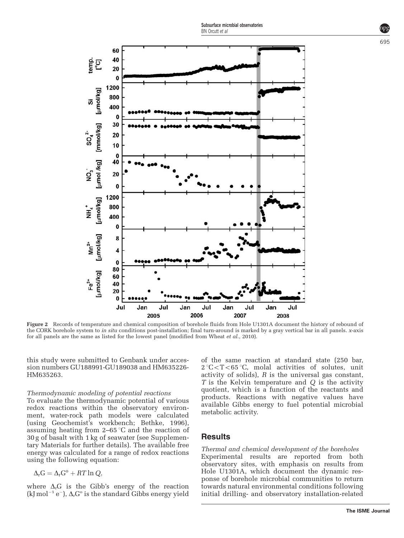

Figure 2 Records of temperature and chemical composition of borehole fluids from Hole U1301A document the history of rebound of the CORK borehole system to in situ conditions post-installation; final turn-around is marked by a gray vertical bar in all panels. x-axis for all panels are the same as listed for the lowest panel (modified from Wheat et al., 2010).

this study were submitted to Genbank under accession numbers GU188991-GU189038 and HM635226- HM635263.

#### Thermodynamic modeling of potential reactions

To evaluate the thermodynamic potential of various redox reactions within the observatory environment, water-rock path models were calculated (using Geochemist's workbench; Bethke, 1996), assuming heating from  $2-65$  °C and the reaction of 30 g of basalt with 1 kg of seawater (see Supplementary Materials for further details). The available free energy was calculated for a range of redox reactions using the following equation:

$$
\Delta_r G = \Delta_r G^o + RT \ln Q,
$$

where  $\Delta_{r}G$  is the Gibb's energy of the reaction (kJ mol<sup>-1</sup> e<sup>-</sup>),  $\Delta_{r}G^{\circ}$  is the standard Gibbs energy yield

of the same reaction at standard state (250 bar,  $2^{\circ}$ C $\lt$ T $\lt$ 65  $^{\circ}$ C, molal activities of solutes, unit activity of solids),  $R$  is the universal gas constant,  $T$  is the Kelvin temperature and  $Q$  is the activity quotient, which is a function of the reactants and products. Reactions with negative values have available Gibbs energy to fuel potential microbial metabolic activity.

#### **Results**

Thermal and chemical development of the boreholes Experimental results are reported from both observatory sites, with emphasis on results from Hole U1301A, which document the dynamic response of borehole microbial communities to return towards natural environmental conditions following initial drilling- and observatory installation-related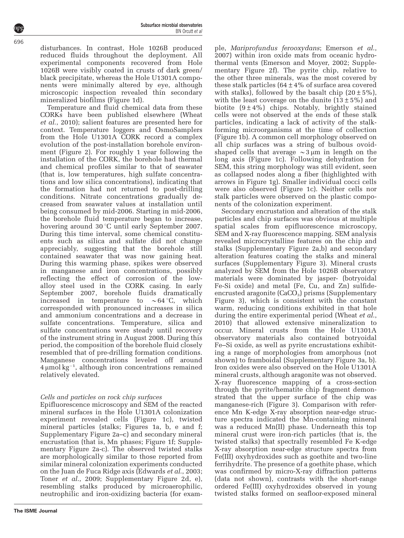disturbances. In contrast, Hole 1026B produced reduced fluids throughout the deployment. All experimental components recovered from Hole 1026B were visibly coated in crusts of dark green/ black precipitate, whereas the Hole U1301A components were minimally altered by eye, although microscopic inspection revealed thin secondary mineralized biofilms (Figure 1d).

Temperature and fluid chemical data from these CORKs have been published elsewhere (Wheat et al., 2010); salient features are presented here for context. Temperature loggers and OsmoSamplers from the Hole U1301A CORK record a complex evolution of the post-installation borehole environment (Figure 2). For roughly 1 year following the installation of the CORK, the borehole had thermal and chemical profiles similar to that of seawater (that is, low temperatures, high sulfate concentrations and low silica concentrations), indicating that the formation had not returned to post-drilling conditions. Nitrate concentrations gradually decreased from seawater values at installation until being consumed by mid-2006. Starting in mid-2006, the borehole fluid temperature began to increase, hovering around 30 °C until early September 2007. During this time interval, some chemical constituents such as silica and sulfate did not change appreciably, suggesting that the borehole still contained seawater that was now gaining heat. During this warming phase, spikes were observed in manganese and iron concentrations, possibly reflecting the effect of corrosion of the lowalloy steel used in the CORK casing. In early September 2007, borehole fluids dramatically increased in temperature to  $\sim$  64 °C, which corresponded with pronounced increases in silica and ammonium concentrations and a decrease in sulfate concentrations. Temperature, silica and sulfate concentrations were steady until recovery of the instrument string in August 2008. During this period, the composition of the borehole fluid closely resembled that of pre-drilling formation conditions. Manganese concentrations leveled off around  $4 \mu$ mol kg<sup>-1</sup>, although iron concentrations remained relatively elevated.

## Cells and particles on rock chip surfaces

Epifluorescence microscopy and SEM of the reacted mineral surfaces in the Hole U1301A colonization experiment revealed cells (Figure 1c), twisted mineral particles (stalks; Figures 1a, b, e and f; Supplementary Figure 2a–c) and secondary mineral encrustation (that is, Mn phases; Figure 1f; Supplementary Figure 2a-c). The observed twisted stalks are morphologically similar to those reported from similar mineral colonization experiments conducted on the Juan de Fuca Ridge axis (Edwards et al., 2003; Toner et al., 2009; Supplementary Figure 2d, e), resembling stalks produced by microaerophilic, neutrophilic and iron-oxidizing bacteria (for example, Mariprofundus ferooxydans; Emerson et al., 2007) within iron oxide mats from oceanic hydrothermal vents (Emerson and Moyer, 2002; Supplementary Figure 2f). The pyrite chip, relative to the other three minerals, was the most covered by these stalk particles  $(64 \pm 4\%)$  of surface area covered with stalks), followed by the basalt chip  $(20 \pm 5\%)$ , with the least coverage on the dunite  $(13\pm5\%)$  and biotite  $(9 \pm 4\%)$  chips. Notably, brightly stained cells were not observed at the ends of these stalk particles, indicating a lack of activity of the stalkforming microorganisms at the time of collection (Figure 1b). A common cell morphology observed on all chip surfaces was a string of bulbous ovoidshaped cells that average  $\sim$ 3  $\mu$ m in length on the long axis (Figure 1c). Following dehydration for SEM, this string morphology was still evident, seen as collapsed nodes along a fiber (highlighted with arrows in Figure 1g). Smaller individual cocci cells were also observed (Figure 1c). Neither cells nor stalk particles were observed on the plastic components of the colonization experiment.

Secondary encrustation and alteration of the stalk particles and chip surfaces was obvious at multiple spatial scales from epifluorescence microscopy, SEM and X-ray fluorescence mapping. SEM analysis revealed microcrystalline features on the chip and stalks (Supplementary Figure 2a,b) and secondary alteration features coating the stalks and mineral surfaces (Supplementary Figure 3). Mineral crusts analyzed by SEM from the Hole 1026B observatory materials were dominated by jasper- (botryoidal Fe-Si oxide) and metal (Fe, Cu, and Zn) sulfideencrusted aragonite  $(CaCO<sub>3</sub>)$  prisms (Supplementary Figure 3), which is consistent with the constant warm, reducing conditions exhibited in that hole during the entire experimental period (Wheat et al., 2010) that allowed extensive mineralization to occur. Mineral crusts from the Hole U1301A observatory materials also contained botryoidal Fe–Si oxide, as well as pyrite encrustations exhibiting a range of morphologies from amorphous (not shown) to framboidal (Supplementary Figure 3a, b). Iron oxides were also observed on the Hole U1301A mineral crusts, although aragonite was not observed. X-ray fluorescence mapping of a cross-section through the pyrite/hematite chip fragment demonstrated that the upper surface of the chip was manganese-rich (Figure 3). Comparison with reference Mn K-edge X-ray absorption near-edge structure spectra indicated the Mn-containing mineral was a reduced Mn(II) phase. Underneath this top mineral crust were iron-rich particles (that is, the twisted stalks) that spectrally resembled Fe K-edge X-ray absorption near-edge structure spectra from Fe(III) oxyhydroxides such as goethite and two-line ferrihydrite. The presence of a goethite phase, which was confirmed by micro-X-ray diffraction patterns (data not shown), contrasts with the short-range ordered Fe(III) oxyhydroxides observed in young twisted stalks formed on seafloor-exposed mineral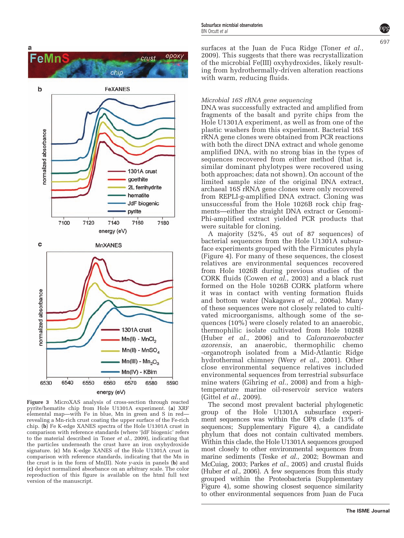

 $Mn(II) - MnCl<sub>2</sub>$ Mn(II) - MnSO  $Mn(III) - Mn<sub>2</sub>O<sub>3</sub>$ Mn(IV) - KBirn 6540 6550 6570 6590 6530 6560 6580 energy (eV) Figure 3 MicroXAS analysis of cross-section through reacted pyrite/hematite chip from Hole U1301A experiment. (a) XRF elemental map—with Fe in blue, Mn in green and S in red revealing a Mn-rich crust coating the upper surface of the Fe-rich

chip. (b) Fe K-edge XANES spectra of the Hole U1301A crust in comparison with reference standards (where 'JdF biogenic' refers to the material described in Toner et al., 2009), indicating that the particles underneath the crust have an iron oxyhydroxide signature. (c) Mn K-edge XANES of the Hole U1301A crust in comparison with reference standards, indicating that the Mn in the crust is in the form of Mn(II). Note y-axis in panels (b) and (c) depict normalized absorbance on an arbitrary scale. The color reproduction of this figure is available on the html full text version of the manuscript.

surfaces at the Juan de Fuca Ridge (Toner *et al.*, 2009). This suggests that there was recrystallization of the microbial Fe(III) oxyhydroxides, likely resulting from hydrothermally-driven alteration reactions with warm, reducing fluids.

#### Microbial 16S rRNA gene sequencing

DNA was successfully extracted and amplified from fragments of the basalt and pyrite chips from the Hole U1301A experiment, as well as from one of the plastic washers from this experiment. Bacterial 16S rRNA gene clones were obtained from PCR reactions with both the direct DNA extract and whole genome amplified DNA, with no strong bias in the types of sequences recovered from either method (that is, similar dominant phylotypes were recovered using both approaches; data not shown). On account of the limited sample size of the original DNA extract, archaeal 16S rRNA gene clones were only recovered from REPLI-g-amplified DNA extract. Cloning was unsuccessful from the Hole 1026B rock chip fragments—either the straight DNA extract or Genomi-Phi-amplified extract yielded PCR products that were suitable for cloning.

A majority (52%, 45 out of 87 sequences) of bacterial sequences from the Hole U1301A subsurface experiments grouped with the Firmicutes phyla (Figure 4). For many of these sequences, the closest relatives are environmental sequences recovered from Hole 1026B during previous studies of the CORK fluids (Cowen et al., 2003) and a black rust formed on the Hole 1026B CORK platform where it was in contact with venting formation fluids and bottom water (Nakagawa et al., 2006a). Many of these sequences were not closely related to cultivated microorganisms, although some of the sequences (10%) were closely related to an anaerobic, thermophilic isolate cultivated from Hole 1026B (Huber et al., 2006) and to Caloranaerobacter azorensis, an anaerobic, thermophilic chemo -organotroph isolated from a Mid-Atlantic Ridge hydrothermal chimney (Wery et al., 2001). Other close environmental sequence relatives included environmental sequences from terrestrial subsurface mine waters (Gihring et al., 2008) and from a hightemperature marine oil-reservoir service waters (Gittel *et al.*, 2009).

The second most prevalent bacterial phylogenetic group of the Hole U1301A subsurface experiment sequences was within the OP8 clade (13% of sequences; Supplementary Figure 4), a candidate phylum that does not contain cultivated members. Within this clade, the Hole U1301A sequences grouped most closely to other environmental sequences from marine sediments (Teske et al., 2002; Bowman and McCuiag, 2003; Parkes et al., 2005) and crustal fluids (Huber et al., 2006). A few sequences from this study grouped within the Proteobacteria (Supplementary Figure 4), some showing closest sequence similarity to other environmental sequences from Juan de Fuca

**The ISME Journal**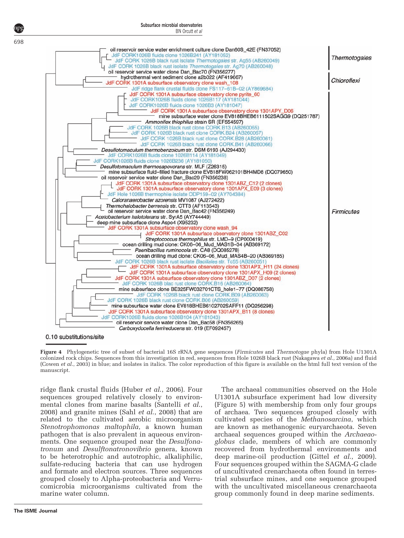

Subsurface microbial observatories

BN Orcutt et al

0.10 substitutions/site

Figure 4 Phylogenetic tree of subset of bacterial 16S rRNA gene sequences (Firmicutes and Thermotogae phyla) from Hole U1301A colonized rock chips. Sequences from this investigation in red, sequences from Hole 1026B black rust (Nakagawa et al., 2006a) and fluid (Cowen *et al.*, 2003) in blue; and isolates in italics. The color reproduction of this figure is available on the html full text version of the manuscript.

ridge flank crustal fluids (Huber et al., 2006). Four sequences grouped relatively closely to environmental clones from marine basalts (Santelli et al., 2008) and granite mines (Sahl et al., 2008) that are related to the cultivated aerobic microorganism Stenotrophomonas maltophila, a known human pathogen that is also prevalent in aqueous environments. One sequence grouped near the Desulfonatronum and Desulftonatronovibrio genera, known to be heterotrophic and autotrophic, alkaliphilic, sulfate-reducing bacteria that can use hydrogen and formate and electron sources. Three sequences grouped closely to Alpha-proteobacteria and Verrucomicrobia microorganisms cultivated from the marine water column.

The archaeal communities observed on the Hole U1301A subsurface experiment had low diversity (Figure 5) with membership from only four groups of archaea. Two sequences grouped closely with cultivated species of the Methanosarcina, which are known as methanogenic euryarchaeota. Seven archaeal sequences grouped within the Archaeaoglobus clade, members of which are commonly recovered from hydrothermal environments and deep marine-oil production (Gittel et al., 2009). Four sequences grouped within the SAGMA-G clade of uncultivated crenarchaeota often found in terrestrial subsurface mines, and one sequence grouped with the uncultivated miscellaneous crenarchaeota group commonly found in deep marine sediments.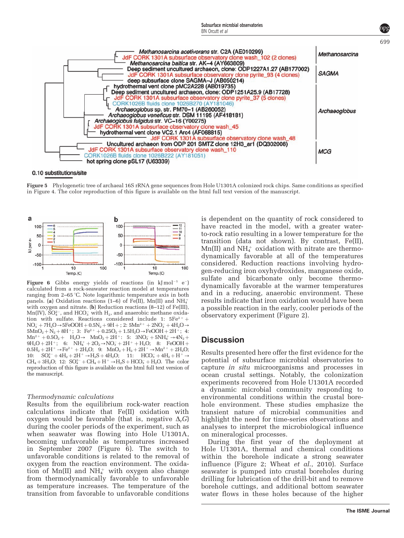

#### 0.10 substitutions/site

Figure 5 Phylogenetic tree of archaeal 16S rRNA gene sequences from Hole U1301A colonized rock chips. Same conditions as specified in Figure 4. The color reproduction of this figure is available on the html full text version of the manuscript.



Figure 6 Gibbs energy yields of reactions (in  $kJ \text{mol}^{-1}$  e<sup>-</sup>) calculated from a rock-seawater reaction model at temperatures ranging from  $2-65$  °C. Note logarithmic temperature axis in both panels. (a) Oxidation reactions (1–6) of Fe(II), Mn(II) and NH $_4^+$ with oxygen and nitrate. (b) Reduction reactions  $(8-12)$  of Fe(III),  $Mn(IV)$ ,  $SO_4^{2-}$ , and  $HCO_3^-$  with  $H_2$ , and anaerobic methane oxidation with sulfate. Reactions considered include 1:  $5Fe^{2+}$  +  $NO_3^- + 7H_2O \rightarrow 5FeOOH + 0.5N_2 + 9H +$ ; 2:  $5Mn^{2+} + 2NO_3^- + 4H_2O \rightarrow$  $5MnO_2 + N_2 + 8H^+$ ; 3:  $Fe^{2+} + 0.25O_2 + 1.5H_2O \rightarrow FeOOH + 2H^+$ ; 4:  $Mn^{2+} + 0.5O_2 + H_2O \rightarrow MnO_2 + 2H^+$ : 5:  $3NO_3^- + 5NH_4^+ \rightarrow 4N_2 +$  $9H_2O + 2H^+$ ; 6:  $NH_4^+ + 2O_2 \rightarrow NO_3^- + 2H^+ + H_2O$ ; 8: FeOOH +  $0.5{\rm H}_2+2{\rm H}^+ \rightarrow {\rm Fe^{2+}}+2{\rm H}_2{\rm O};~~9:~~{\rm MnO_2}+{\rm H}_2+2{\rm H}^+ \rightarrow {\rm Mn^{2+}}+2{\rm H}_2{\rm O};$ 10:  $SO_4^{2-} + 4H_2 + 2H^+ \rightarrow H_2S + 4H_2O$ ; 11:  $HCO_3^- + 4H_2 + H^+ \rightarrow$  $CH_4 + 3H_2O$ ; 12:  $SO_4^{2-} + CH_4 + H^+ \rightarrow H_2S + HCO_3^- + H_2O$ . The color reproduction of this figure is available on the html full text version of the manuscript.

#### Thermodynamic calculations

Results from the equilibrium rock-water reaction calculations indicate that Fe(II) oxidation with oxygen would be favorable (that is, negative  $\Delta_r G$ ) during the cooler periods of the experiment, such as when seawater was flowing into Hole U1301A, becoming unfavorable as temperatures increased in September 2007 (Figure 6). The switch to unfavorable conditions is related to the removal of oxygen from the reaction environment. The oxidation of  $Mn(II)$  and  $NH<sub>4</sub><sup>+</sup>$  with oxygen also change from thermodynamically favorable to unfavorable as temperature increases. The temperature of the transition from favorable to unfavorable conditions is dependent on the quantity of rock considered to have reacted in the model, with a greater waterto-rock ratio resulting in a lower temperature for the transition (data not shown). By contrast, Fe(II),  $Mn(II)$  and  $NH<sub>4</sub><sup>+</sup>$  oxidation with nitrate are thermodynamically favorable at all of the temperatures considered. Reduction reactions involving hydrogen-reducing iron oxyhydroxides, manganese oxide, sulfate and bicarbonate only become thermodynamically favorable at the warmer temperatures and in a reducing, anaerobic environment. These results indicate that iron oxidation would have been a possible reaction in the early, cooler periods of the observatory experiment (Figure 2).

#### **Discussion**

Results presented here offer the first evidence for the potential of subsurface microbial observatories to capture in situ microorganisms and processes in ocean crustal settings. Notably, the colonization experiments recovered from Hole U1301A recorded a dynamic microbial community responding to environmental conditions within the crustal borehole environment. These studies emphasize the transient nature of microbial communities and highlight the need for time-series observations and analyses to interpret the microbiological influence on mineralogical processes.

During the first year of the deployment at Hole U1301A, thermal and chemical conditions within the borehole indicate a strong seawater influence (Figure 2; Wheat *et al.*, 2010). Surface seawater is pumped into crustal boreholes during drilling for lubrication of the drill-bit and to remove borehole cuttings, and additional bottom seawater water flows in these holes because of the higher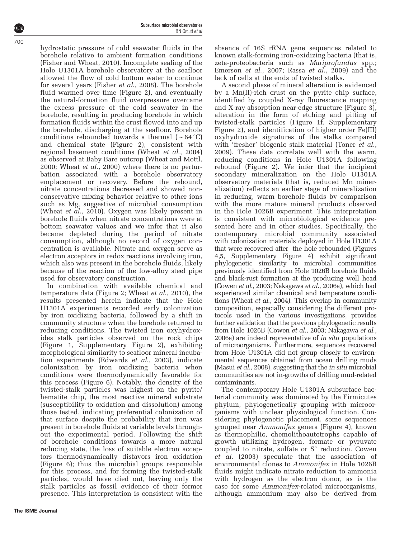hydrostatic pressure of cold seawater fluids in the borehole relative to ambient formation conditions (Fisher and Wheat, 2010). Incomplete sealing of the Hole U1301A borehole observatory at the seafloor allowed the flow of cold bottom water to continue for several years (Fisher et al., 2008). The borehole fluid warmed over time (Figure 2), and eventually the natural-formation fluid overpressure overcame the excess pressure of the cold seawater in the borehole, resulting in producing borehole in which formation fluids within the crust flowed into and up the borehole, discharging at the seafloor. Borehole conditions rebounded towards a thermal  $({\sim}64^{\circ}C)$ and chemical state (Figure 2), consistent with regional basement conditions (Wheat et al., 2004) as observed at Baby Bare outcrop (Wheat and Mottl, 2000; Wheat et al., 2000) where there is no perturbation associated with a borehole observatory emplacement or recovery. Before the rebound, nitrate concentrations decreased and showed nonconservative mixing behavior relative to other ions such as Mg, suggestive of microbial consumption (Wheat et al., 2010). Oxygen was likely present in borehole fluids when nitrate concentrations were at bottom seawater values and we infer that it also became depleted during the period of nitrate consumption, although no record of oxygen concentration is available. Nitrate and oxygen serve as electron acceptors in redox reactions involving iron, which also was present in the borehole fluids, likely because of the reaction of the low-alloy steel pipe used for observatory construction.

In combination with available chemical and temperature data (Figure 2; Wheat et al., 2010), the results presented herein indicate that the Hole U1301A experiments recorded early colonization by iron oxidizing bacteria, followed by a shift in community structure when the borehole returned to reducing conditions. The twisted iron oxyhydroxides stalk particles observed on the rock chips (Figure 1, Supplementary Figure 2), exhibiting morphological similarity to seafloor mineral incubation experiments (Edwards et al., 2003), indicate colonization by iron oxidizing bacteria when conditions were thermodynamically favorable for this process (Figure 6). Notably, the density of the twisted-stalk particles was highest on the pyrite/ hematite chip, the most reactive mineral substrate (susceptibility to oxidation and dissolution) among those tested, indicating preferential colonization of that surface despite the probability that iron was present in borehole fluids at variable levels throughout the experimental period. Following the shift of borehole conditions towards a more natural reducing state, the loss of suitable electron acceptors thermodynamically disfavors iron oxidation (Figure 6); thus the microbial groups responsible for this process, and for forming the twisted-stalk particles, would have died out, leaving only the stalk particles as fossil evidence of their former presence. This interpretation is consistent with the absence of 16S rRNA gene sequences related to known stalk-forming iron-oxidizing bacteria (that is, zeta-proteobacteria such as Mariprofundus spp.; Emerson et al., 2007; Rassa et al., 2009) and the lack of cells at the ends of twisted stalks.

A second phase of mineral alteration is evidenced by a Mn(II)-rich crust on the pyrite chip surface, identified by coupled X-ray fluorescence mapping and X-ray absorption near-edge structure (Figure 3), alteration in the form of etching and pitting of twisted-stalk particles (Figure 1f, Supplementary Figure 2), and identification of higher order Fe(III) oxyhydroxide signatures of the stalks compared with 'fresher' biogenic stalk material (Toner *et al.*, 2009). These data correlate well with the warm, reducing conditions in Hole U1301A following rebound (Figure 2). We infer that the incipient secondary mineralization on the Hole U1301A observatory materials (that is, reduced Mn mineralization) reflects an earlier stage of mineralization in reducing, warm borehole fluids by comparison with the more mature mineral products observed in the Hole 1026B experiment. This interpretation is consistent with microbiological evidence presented here and in other studies. Specifically, the contemporary microbial community associated with colonization materials deployed in Hole U1301A that were recovered after the hole rebounded (Figures 4,5, Supplementary Figure 4) exhibit significant phylogenetic similarity to microbial communities previously identified from Hole 1026B borehole fluids and black-rust formation at the producing well head (Cowen et al., 2003; Nakagawa et al., 2006a), which had experienced similar chemical and temperature conditions (Wheat et al., 2004). This overlap in community composition, especially considering the different protocols used in the various investigations, provides further validation that the previous phylogenetic results from Hole 1026B (Cowen et al., 2003; Nakagawa et al., 2006a) are indeed representative of in situ populations of microorganisms. Furthermore, sequences recovered from Hole U1301A did not group closely to environmental sequences obtained from ocean drilling muds (Masui *et al.*, 2008), suggesting that the *in situ* microbial communities are not in-growths of drilling mud-related contaminants.

The contemporary Hole U1301A subsurface bacterial community was dominated by the Firmicutes phylum, phylogenetically grouping with microorganisms with unclear physiological function. Considering phylogenetic placement, some sequences grouped near Ammonifex genera (Figure 4), known as thermophilic, chemolithoautotrophs capable of growth utilizing hydrogen, formate or pyruvate coupled to nitrate, sulfate or  $S^{\circ}$  reduction. Cowen et al. (2003) speculate that the association of environmental clones to Ammonifex in Hole 1026B fluids might indicate nitrate reduction to ammonia with hydrogen as the electron donor, as is the case for some Ammonifex-related microorganisms, although ammonium may also be derived from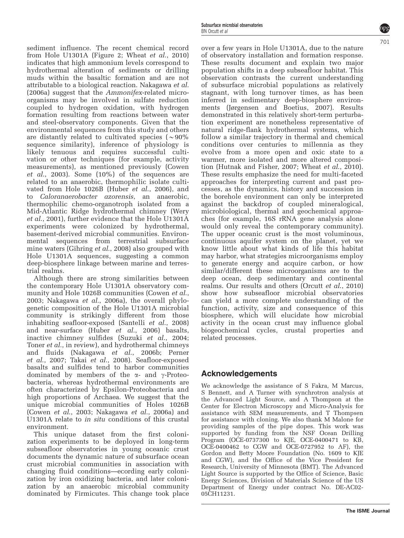sediment influence. The recent chemical record from Hole U1301A (Figure 2; Wheat et al., 2010) indicates that high ammonium levels correspond to hydrothermal alteration of sediments or drilling muds within the basaltic formation and are not attributable to a biological reaction. Nakagawa et al. (2006a) suggest that the Ammonifex-related microorganisms may be involved in sulfate reduction coupled to hydrogen oxidation, with hydrogen formation resulting from reactions between water and steel-observatory components. Given that the environmental sequences from this study and others are distantly related to cultivated species ( $\sim 90\%$ ) sequence similarity), inference of physiology is likely tenuous and requires successful cultivation or other techniques (for example, activity measurements), as mentioned previously (Cowen et al., 2003). Some (10%) of the sequences are related to an anaerobic, thermophilic isolate cultivated from Hole 1026B (Huber et al., 2006), and to Caloranaerobacter azorensis, an anaerobic, thermophilic chemo-organotroph isolated from a Mid-Atlantic Ridge hydrothermal chimney (Wery et al., 2001), further evidence that the Hole U1301A experiments were colonized by hydrothermal, basement-derived microbial communities. Environmental sequences from terrestrial subsurface mine waters (Gihring *et al.*, 2008) also grouped with Hole U1301A sequences, suggesting a common deep-biosphere linkage between marine and terrestrial realms.

Although there are strong similarities between the contemporary Hole U1301A observatory community and Hole 1026B communities (Cowen *et al.*, 2003; Nakagawa et al., 2006a), the overall phylogenetic composition of the Hole U1301A microbial community is strikingly different from those inhabiting seafloor-exposed (Santelli et al., 2008) and near-surface (Huber et al., 2006) basalts, inactive chimney sulfides (Suzuki et al., 2004; Toner et al., in review), and hydrothermal chimneys and fluids (Nakagawa et al., 2006b; Perner et al., 2007; Takai et al., 2008). Seafloor-exposed basalts and sulfides tend to harbor communities dominated by members of the  $\alpha$ - and  $\gamma$ -Proteobacteria, whereas hydrothermal environments are often characterized by Epsilon-Proteobacteria and high proportions of Archaea. We suggest that the unique microbial communities of Holes 1026B (Cowen et al., 2003; Nakagawa et al., 2006a) and U1301A relate to in situ conditions of this crustal environment.

This unique dataset from the first colonization experiments to be deployed in long-term subseafloor observatories in young oceanic crust documents the dynamic nature of subsurface ocean crust microbial communities in association with changing fluid conditions—ecording early colonization by iron oxidizing bacteria, and later colonization by an anaerobic microbial community dominated by Firmicutes. This change took place

over a few years in Hole U1301A, due to the nature of observatory installation and formation response. These results document and explain two major population shifts in a deep subseafloor habitat. This observation contrasts the current understanding of subsurface microbial populations as relatively stagnant, with long turnover times, as has been inferred in sedimentary deep-biosphere environments (Jørgensen and Boetius, 2007). Results demonstrated in this relatively short-term perturbation experiment are nonetheless representative of natural ridge-flank hydrothermal systems, which follow a similar trajectory in thermal and chemical conditions over centuries to millennia as they evolve from a more open and oxic state to a warmer, more isolated and more altered composition (Hutnak and Fisher, 2007; Wheat et al., 2010). These results emphasize the need for multi-faceted approaches for interpreting current and past processes, as the dynamics, history and succession in the borehole environment can only be interpreted against the backdrop of coupled mineralogical, microbiological, thermal and geochemical approaches (for example, 16S rRNA gene analysis alone would only reveal the contemporary community). The upper oceanic crust is the most voluminous, continuous aquifer system on the planet, yet we know little about what kinds of life this habitat may harbor, what strategies microorganisms employ to generate energy and acquire carbon, or how similar/different these microorganisms are to the deep ocean, deep sedimentary and continental realms. Our results and others (Orcutt et al., 2010) show how subseafloor microbial observatories can yield a more complete understanding of the function, activity, size and consequence of this biosphere, which will elucidate how microbial activity in the ocean crust may influence global biogeochemical cycles, crustal properties and related processes.

## Acknowledgements

We acknowledge the assistance of S Fakra, M Marcus, S Bennett, and A Turner with synchrotron analysis at the Advanced Light Source, and A Thompson at the Center for Electron Microscopy and Micro-Analysis for assistance with SEM measurements, and T Thompsen for assistance with cloning. We also thank M Malone for providing samples of the pipe dopes. This work was supported by funding from the NSF Ocean Drilling Program (OCE-0737300 to KJE, OCE-0400471 to KB, OCE-0400462 to CGW and OCE-0727952 to AF), the Gordon and Betty Moore Foundation (No. 1609 to KJE and CGW), and the Office of the Vice President for Research, University of Minnesota (BMT). The Advanced Light Source is supported by the Office of Science, Basic Energy Sciences, Division of Materials Science of the US Department of Energy under contract No. DE-AC02- 05CH11231.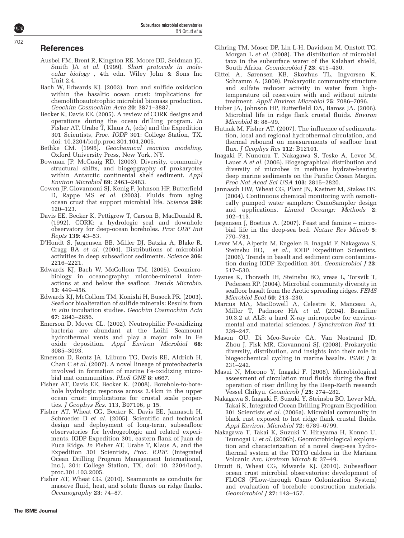## References

- Ausbel FM, Brent R, Kingston RE, Moore DD, Seidman JG, Smith JA et al. (1999). Short protocols in molecular biology , 4th edn. Wiley John & Sons Inc Unit 2.4.
- Bach W, Edwards KJ. (2003). Iron and sulfide oxidation within the basaltic ocean crust: implications for chemolithoautotrophic microbial biomass production. Geochim Cosmochim Acta 20: 3871–3887.
- Becker K, Davis EE. (2005). A review of CORK designs and operations during the ocean drilling program. In Fisher AT, Urabe T, Klaus A, (eds) and the Expedition 301 Scientists, Proc. IODP 301: College Station, TX. doi: 10.2204/iodp.proc.301.104.2005.
- Bethke CM. (1996). Geochemical reaction modeling. Oxford University Press, New York, NY.
- Bowman JP, McCuaig RD. (2003). Diversity, community structural shifts, and biogepgraphy of prokaryotes within Antarctic continental shelf sediment. Appl Environ Microbiol 69: 2463–2483.
- Cowen JP, Giovannoni SJ, Kenig F, Johnson HP, Butterfield D, Rappe MS *et al.* (2003). Fluids from aging ocean crust that support microbial life. Science 299: 120–123.
- Davis EE, Becker K, Pettigrew T, Carson B, MacDonald R. (1992). CORK: a hydrologic seal and downhole observatory for deep-ocean boreholes. Proc ODP Init Repts 139: 43–53.
- D'Hondt S, Jørgensen BB, Miller DJ, Batzka A, Blake R, Cragg BA et al. (2004). Distributions of microbial activities in deep subseafloor sediments. Science 306: 2216–2221.
- Edwards KJ, Bach W, McCollom TM. (2005). Geomicrobiology in oceanography: microbe-mineral interactions at and below the seafloor. Trends Microbio. 13: 449–456.
- Edwards KJ, McCollom TM, Konishi H, Buseck PR. (2003). Seafloor bioalteration of sulfide minerals: Results from in situ incubation studies. Geochim Cosmochim Acta 67: 2843–2856.
- Emerson D, Moyer CL. (2002). Neutrophilic Fe-oxidizing bacteria are abundant at the Loihi Seamount hydrothermal vents and play a major role in Fe oxide deposition. Appl Environ Microbiol 68: 3085–3093.
- Emerson D, Rentz JA, Lilburn TG, Davis RE, Aldrich H, Chan C et al. (2007). A novel lineage of proteobacteria involved in formation of marine Fe-oxidizing microbial mat communities. PLoS ONE 8: e667.
- Fisher AT, Davis EE, Becker K. (2008). Borehole-to-borehole hydrologic response across 2.4 km in the upper ocean crust: implications for crustal scale properties. J Geophys Res. 113, B07106, p 15.
- Fisher AT, Wheat CG, Becker K, Davis EE, Jannasch H, Schroeder D et al. (2005). Scientific and technical design and deployment of long-term, subseafloor observatories for hydrogeologic and related experiments, IODP Expedition 301, eastern flank of Juan de Fuca Ridge. In Fisher AT, Urabe T, Klaus A, and the Expedition 301 Scientists, Proc. IODP. (Integrated Ocean Drilling Program Management International, Inc.), 301: College Station, TX, doi: 10. 2204/iodp. proc.301.103.2005.
- Fisher AT, Wheat CG. (2010). Seamounts as conduits for massive fluid, heat, and solute fluxes on ridge flanks. Oceanography 23: 74–87.
- Gihring TM, Moser DP, Lin L-H, Davidson M, Onstott TC, Morgan L et al. (2008). The distribution of microbial taxa in the subsurface warer of the Kalahari shield, South Africa. Geomicrobiol J 23: 415-430.
- Gittel A, Sørensen KB, Skovhus TL, Ingvorsen K, Schramm A. (2009). Prokaryotic community structure and sulfate reducer activity in water from hightemperature oil reservoirs with and without nitrate treatment. Appli Environ Microbiol 75: 7086–7096.
- Huber JA, Johnson HP, Butterfield DA, Baross JA. (2006). Microbial life in ridge flank crustal fluids. Environ Microbiol 8: 88–99.
- Hutnak M, Fisher AT. (2007). The influence of sedimentation, local and regional hydrothermal circulation, and thermal rebound on measurements of seafloor heat flux. J Geophys Res 112: B12101.
- Inagaki F, Nunoura T, Nakagawa S, Teske A, Lever M, Lauer A et al. (2006). Biogeographical distribution and diversity of microbes in methane hydrate-bearing deep marine sediments on the Pacific Ocean Margin. Proc Nat Acad Sci USA 103: 2815–2820.
- Jannasch HW, Wheat CG, Plant JN, Kastner M, Stakes DS. (2004). Continuous chemical monitoring with osmotically pumped water samplers: OsmoSampler design and applications. Limnol Oceangr: Methods 2: 102–113.
- Jørgensen J, Boetius A. (2007). Feast and famine microbial life in the deep-sea bed. Nature Rev Microb 5: 770–781.
- Lever MA, Alperin M, Engelen B, Inagaki F, Nakagawa S, Steinsbu BO, et al., IODP Expedition Scientists. (2006). Trends in basalt and sediment core contamination during IODP Expedition 301. Geomicrobiol J 23: 517–530.
- Lysnes K, Thorseth IH, Steinsbu BO, vreas L, Torsvik T, Pedersen RP. (2004). Microbial community diversity in seafloor basalt from the Arctic spreading ridges. FEMS Microbiol Ecol 50: 213–230.
- Marcus MA, MacDowell A, Celestre R, Manceau A, Miller T, Padmore HA et al. (2004). Beamline 10.3.2 at ALS: a hard X-ray microprobe for environmental and material sciences. J Synchrotron Rad 11: 239–247.
- Mason OU, Di Meo-Savoie CA, Van Nostrand JD, Zhou J, Fisk MR, Giovannoni SJ. (2008). Prokaryotic diversity, distribution, and insights into their role in biogeochemical cycling in marine basalts. ISME J 3: 231–242.
- Masui N, Morono Y, Inagaki F. (2008). Microbiological assessment of circulation mud fluids during the first operation of riser drilling by the Deep-Earth research Vessel Chikyu. Geomicrob J 25: 274–282.
- Nakagawa S, Inagaki F, Suzuki Y, Steinsbu BO, Lever MA, Takai K, Integrated Ocean Drilling Program Expedition 301 Scientists et al. (2006a). Microbial community in black rust exposed to hot ridge flank crustal fluids. Appl Environ. Microbiol 72: 6789–6799.
- Nakagawa T, Takai K, Suzuki Y, Hirayama H, Konno U, Tsunogai U et al. (2006b). Geomicrobiological exploration and characterization of a novel deep-sea hydrothermal system at the TOTO caldera in the Mariana Volcanic Arc. Envirom Microb 8: 37–49.
- Orcutt B, Wheat CG, Edwards KJ. (2010). Subseafloor ocean crust microbial observatories: development of FLOCS (FLow-through Osmo Colonization System) and evaluation of borehole construction materials. Geomicrobiol J 27: 143–157.